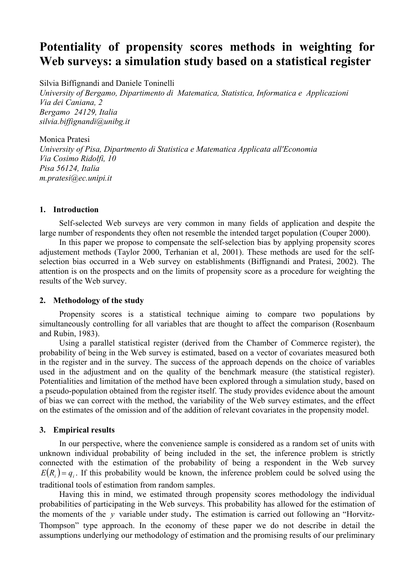# **Potentiality of propensity scores methods in weighting for Web surveys: a simulation study based on a statistical register**

Silvia Biffignandi and Daniele Toninelli

*University of Bergamo, Dipartimento di Matematica, Statistica, Informatica e Applicazioni Via dei Caniana, 2 Bergamo 24129, Italia silvia.biffignandi@unibg.it* 

Monica Pratesi *University of Pisa, Dipartmento di Statistica e Matematica Applicata all'Economia Via Cosimo Ridolfi, 10 Pisa 56124, Italia m.pratesi@ec.unipi.it* 

## **1. Introduction**

Self-selected Web surveys are very common in many fields of application and despite the large number of respondents they often not resemble the intended target population (Couper 2000).

In this paper we propose to compensate the self-selection bias by applying propensity scores adjustement methods (Taylor 2000, Terhanian et al, 2001). These methods are used for the selfselection bias occurred in a Web survey on establishments (Biffignandi and Pratesi, 2002). The attention is on the prospects and on the limits of propensity score as a procedure for weighting the results of the Web survey.

## **2. Methodology of the study**

Propensity scores is a statistical technique aiming to compare two populations by simultaneously controlling for all variables that are thought to affect the comparison (Rosenbaum and Rubin, 1983).

Using a parallel statistical register (derived from the Chamber of Commerce register), the probability of being in the Web survey is estimated, based on a vector of covariates measured both in the register and in the survey. The success of the approach depends on the choice of variables used in the adjustment and on the quality of the benchmark measure (the statistical register). Potentialities and limitation of the method have been explored through a simulation study, based on a pseudo-population obtained from the register itself. The study provides evidence about the amount of bias we can correct with the method, the variability of the Web survey estimates, and the effect on the estimates of the omission and of the addition of relevant covariates in the propensity model.

## **3. Empirical results**

In our perspective, where the convenience sample is considered as a random set of units with unknown individual probability of being included in the set, the inference problem is strictly connected with the estimation of the probability of being a respondent in the Web survey  $E(R<sub>i</sub>) = q<sub>i</sub>$ . If this probability would be known, the inference problem could be solved using the traditional tools of estimation from random samples.

Having this in mind, we estimated through propensity scores methodology the individual probabilities of participating in the Web surveys. This probability has allowed for the estimation of the moments of the  $y$  variable under study. The estimation is carried out following an "Horvitz-Thompson" type approach. In the economy of these paper we do not describe in detail the assumptions underlying our methodology of estimation and the promising results of our preliminary